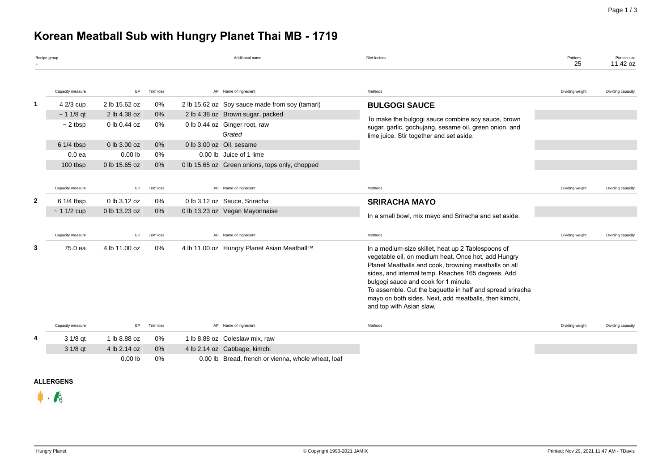# **Korean Meatball Sub with Hungry Planet Thai MB - 1719**

|                | Recipe group      |                                                               |                                |                         | Additional name                                    | Diet factors                                                                                                                                                                                                                                                                                                                                                                                                      | Portions<br>25  | Portion size<br>11.42 oz |
|----------------|-------------------|---------------------------------------------------------------|--------------------------------|-------------------------|----------------------------------------------------|-------------------------------------------------------------------------------------------------------------------------------------------------------------------------------------------------------------------------------------------------------------------------------------------------------------------------------------------------------------------------------------------------------------------|-----------------|--------------------------|
|                | Capacity measure  | EP                                                            | Trim loss                      |                         | AP Name of ingredient                              | Methods                                                                                                                                                                                                                                                                                                                                                                                                           | Dividing weight | Dividing capacity        |
| $\mathbf{1}$   | 4 2/3 cup         | 2 lb 15.62 oz                                                 | 0%                             |                         | 2 lb 15.62 oz Soy sauce made from soy (tamari)     | <b>BULGOGI SAUCE</b>                                                                                                                                                                                                                                                                                                                                                                                              |                 |                          |
|                | $~11/8$ qt        | 2 lb 4.38 oz                                                  | 0%                             |                         | 2 lb 4.38 oz Brown sugar, packed                   |                                                                                                                                                                                                                                                                                                                                                                                                                   |                 |                          |
|                | $\sim$ 2 tbsp     | 0 lb 0.44 oz<br>0%<br>0 lb 0.44 oz Ginger root, raw<br>Grated |                                |                         |                                                    | To make the bulgogi sauce combine soy sauce, brown<br>sugar, garlic, gochujang, sesame oil, green onion, and<br>lime juice. Stir together and set aside.                                                                                                                                                                                                                                                          |                 |                          |
|                | 6 1/4 tbsp        | 0 lb 3.00 oz                                                  | 0%<br>0 lb 3.00 oz Oil, sesame |                         |                                                    |                                                                                                                                                                                                                                                                                                                                                                                                                   |                 |                          |
|                | 0.0 <sub>ea</sub> | $0.00$ lb                                                     | 0%                             | 0.00 lb Juice of 1 lime |                                                    |                                                                                                                                                                                                                                                                                                                                                                                                                   |                 |                          |
|                | 100 tbsp          | 0 lb 15.65 oz                                                 | 0%                             |                         | 0 lb 15.65 oz Green onions, tops only, chopped     |                                                                                                                                                                                                                                                                                                                                                                                                                   |                 |                          |
|                |                   |                                                               |                                |                         |                                                    |                                                                                                                                                                                                                                                                                                                                                                                                                   |                 |                          |
|                | Capacity measure  | EP                                                            | Trim loss                      |                         | AP Name of ingredient                              | Methods                                                                                                                                                                                                                                                                                                                                                                                                           | Dividing weight | Dividing capacity        |
| $\overline{2}$ | 6 1/4 tbsp        | 0 lb 3.12 oz                                                  | 0%                             |                         | 0 lb 3.12 oz Sauce, Sriracha                       | <b>SRIRACHA MAYO</b>                                                                                                                                                                                                                                                                                                                                                                                              |                 |                          |
|                | $~11/2$ cup       | 0 lb 13.23 oz                                                 | 0%                             |                         | 0 lb 13.23 oz Vegan Mayonnaise                     | In a small bowl, mix mayo and Sriracha and set aside.                                                                                                                                                                                                                                                                                                                                                             |                 |                          |
|                |                   |                                                               |                                |                         |                                                    |                                                                                                                                                                                                                                                                                                                                                                                                                   |                 |                          |
|                | Capacity measure  | <b>EP</b>                                                     | Trim loss                      |                         | AP Name of ingredient                              | Methods                                                                                                                                                                                                                                                                                                                                                                                                           | Dividing weight | Dividing capacity        |
| 3              | 75.0 ea           | 4 lb 11.00 oz                                                 | 0%                             |                         | 4 lb 11.00 oz Hungry Planet Asian Meatball™        | In a medium-size skillet, heat up 2 Tablespoons of<br>vegetable oil, on medium heat. Once hot, add Hungry<br>Planet Meatballs and cook, browning meatballs on all<br>sides, and internal temp. Reaches 165 degrees. Add<br>bulgogi sauce and cook for 1 minute.<br>To assemble. Cut the baguette in half and spread sriracha<br>mayo on both sides. Next, add meatballs, then kimchi,<br>and top with Asian slaw. |                 |                          |
|                | Capacity measure  | EP                                                            | Trim loss                      |                         | AP Name of ingredient                              | Methods                                                                                                                                                                                                                                                                                                                                                                                                           | Dividing weight | Dividing capacity        |
| 4              | 3 1/8 qt          | 1 lb 8.88 oz                                                  | 0%                             |                         | 1 lb 8.88 oz Coleslaw mix, raw                     |                                                                                                                                                                                                                                                                                                                                                                                                                   |                 |                          |
|                | 3 1/8 qt          | 4 lb 2.14 oz                                                  | 0%                             |                         | 4 lb 2.14 oz Cabbage, kimchi                       |                                                                                                                                                                                                                                                                                                                                                                                                                   |                 |                          |
|                |                   | $0.00$ lb                                                     | 0%                             |                         | 0.00 lb Bread, french or vienna, whole wheat, loaf |                                                                                                                                                                                                                                                                                                                                                                                                                   |                 |                          |

## **ALLERGENS**

 $\mathbf{\mathbf{\ast}}$ ,  $\mathbf{\mathbf{\mathsf{A}}}$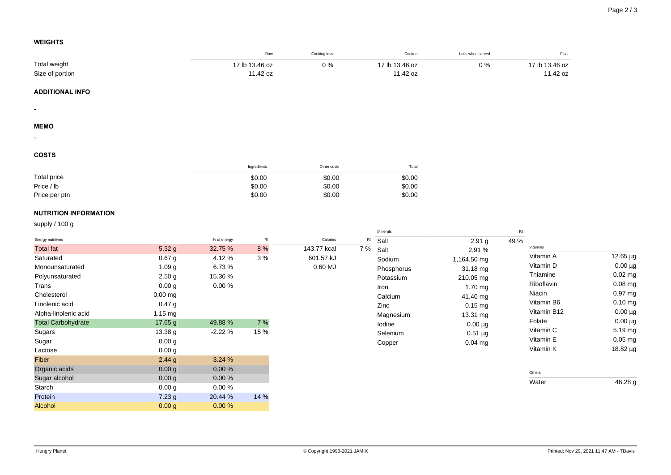$12.65 \mu g$  $0.00 \mu$ g  $0.02 \text{ mg}$  $0.08$  mg 0.97 mg  $0.10$  mg  $0.00 \mu$ g  $0.00 \mu g$ 5.19 mg  $0.05$  mg 18.82 µg

 $46.28 g$ 

## **WEIGHTS**

|                              |                   |             | Raw            | Cooking loss |               | Cooked           | Loss when served  |                       | Final    |
|------------------------------|-------------------|-------------|----------------|--------------|---------------|------------------|-------------------|-----------------------|----------|
| Total weight                 |                   |             | 17 lb 13.46 oz | $0\%$        |               | 17 lb 13.46 oz   | $0\%$             | 17 lb 13.46 oz        |          |
| Size of portion              |                   |             | 11.42 oz       |              |               | 11.42 oz         |                   |                       | 11.42 oz |
| <b>ADDITIONAL INFO</b>       |                   |             |                |              |               |                  |                   |                       |          |
| $\overline{\phantom{a}}$     |                   |             |                |              |               |                  |                   |                       |          |
| <b>MEMO</b>                  |                   |             |                |              |               |                  |                   |                       |          |
|                              |                   |             |                |              |               |                  |                   |                       |          |
| <b>COSTS</b>                 |                   |             |                |              |               |                  |                   |                       |          |
|                              |                   |             | Ingredients    | Other costs  |               | Total            |                   |                       |          |
| Total price                  |                   |             | \$0.00         | \$0.00       |               | \$0.00           |                   |                       |          |
| Price / lb                   |                   |             | \$0.00         | \$0.00       |               | \$0.00           |                   |                       |          |
| Price per ptn                |                   |             | \$0.00         | \$0.00       |               | \$0.00           |                   |                       |          |
| <b>NUTRITION INFORMATION</b> |                   |             |                |              |               |                  |                   |                       |          |
| supply / 100 g               |                   |             |                |              |               |                  |                   |                       |          |
| Energy nutritives            |                   | % of energy | $\mathsf{RI}$  | Calories     | $\mathsf{RI}$ | Minerals<br>Salt | 2.91 <sub>g</sub> | $\mathsf{RI}$<br>49 % |          |
| <b>Total fat</b>             | 5.32 g            | 32.75 %     | 8 %            | 143.77 kcal  | 7 %           | Salt             | 2.91 %            | Vitamins              |          |
| Saturated                    | $0.67$ g          | 4.12%       | 3%             | 601.57 kJ    |               | Sodium           | 1,164.50 mg       | Vitamin A             |          |
| Monounsaturated              | 1.09 <sub>g</sub> | 6.73%       |                | $0.60$ MJ    |               | Phosphorus       | 31.18 mg          | Vitamin D             |          |
| Polyunsaturated              | 2.50 <sub>g</sub> | 15.36 %     |                |              |               | Potassium        | 210.05 mg         | Thiamine              |          |
| Trans                        | 0.00 <sub>g</sub> | $0.00 \%$   |                |              |               | Iron             | $1.70$ mg         | Riboflavin            |          |
| Cholesterol                  | $0.00$ mg         |             |                |              |               | Calcium          | 41.40 mg          | Niacin                |          |
| Linolenic acid               | 0.47 <sub>g</sub> |             |                |              |               | Zinc             | $0.15$ mg         | Vitamin B6            |          |
| Alpha-linolenic acid         | 1.15 mg           |             |                |              |               | Magnesium        | 13.31 mg          | Vitamin B12           |          |
| <b>Total Carbohydrate</b>    | 17.65 g           | 49.88 %     | 7 %            |              |               | lodine           | $0.00 \mu g$      | Folate                |          |
| Sugars                       | 13.38 g           | $-2.22%$    | 15 %           |              |               | Selenium         | $0.51 \mu g$      | Vitamin C             |          |
| Sugar                        | 0.00 <sub>g</sub> |             |                |              |               | Copper           | $0.04$ mg         | Vitamin E             |          |
| Lactose                      | 0.00 <sub>g</sub> |             |                |              |               |                  |                   | Vitamin K             |          |
| Fiber                        | 2.44g             | 3.24 %      |                |              |               |                  |                   |                       |          |
| Organic acids                | 0.00 <sub>g</sub> | $0.00 \%$   |                |              |               |                  |                   | Others                |          |
| Sugar alcohol                | 0.00 <sub>g</sub> | $0.00 \%$   |                |              |               |                  |                   | Water                 |          |
| Starch                       | 0.00 <sub>g</sub> | $0.00 \%$   |                |              |               |                  |                   |                       |          |

Protein 20.44 % 14 %

Alcohol 0.00 g 0.00 %